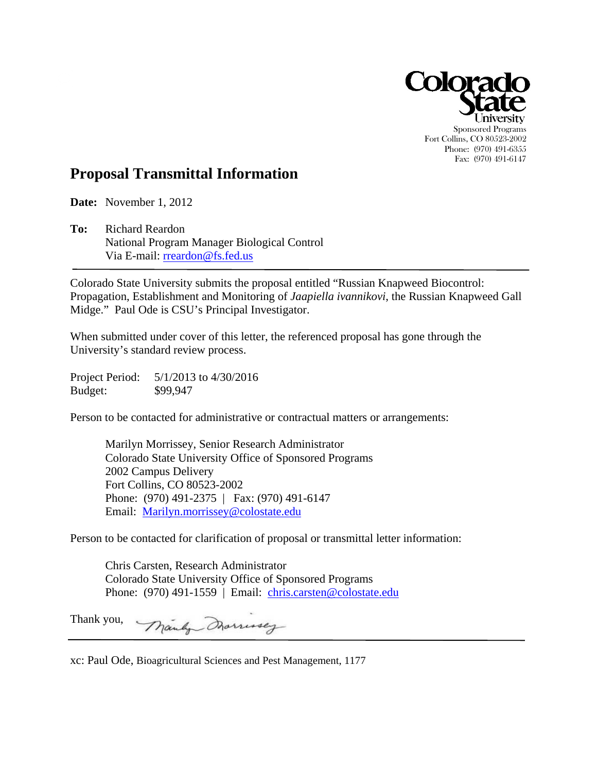

# **Proposal Transmittal Information**

**Date:** November 1, 2012

Via E-mail: rreardon@fs.fed.us **To:** Richard Reardon National Program Manager Biological Control

Colorado State University submits the proposal entitled "Russian Knapweed Biocontrol: Propagation, Establishment and Monitoring of *Jaapiella ivannikovi*, the Russian Knapweed Gall Midge." Paul Ode is CSU's Principal Investigator.

When submitted under cover of this letter, the referenced proposal has gone through the University's standard review process.

Project Period: 5/1/2013 to 4/30/2016 Budget: \$99,947

Person to be contacted for administrative or contractual matters or arrangements:

Marilyn Morrissey, Senior Research Administrator Colorado State University Office of Sponsored Programs 2002 Campus Delivery Fort Collins, CO 80523-2002 Phone: (970) 491-2375 | Fax: (970) 491-6147 Email: Marilyn.morrissey@colostate.edu

Person to be contacted for clarification of proposal or transmittal letter information:

Chris Carsten, Research Administrator Colorado State University Office of Sponsored Programs Phone: (970) 491-1559 | Email: chris.carsten@colostate.edu

Thank you, Manly Dramusey

xc: Paul Ode, Bioagricultural Sciences and Pest Management, 1177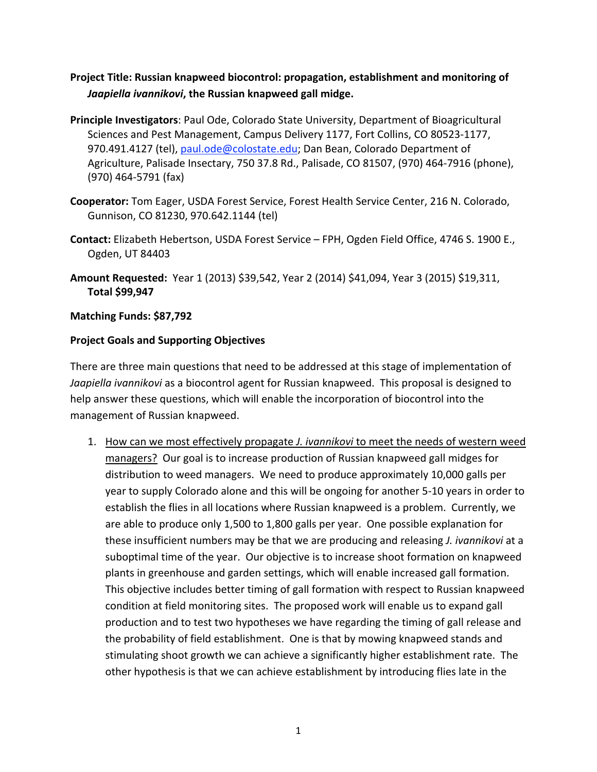# Project Title: Russian knapweed biocontrol: propagation, establishment and monitoring of Jaapiella ivannikovi, the Russian knapweed gall midge.

- **Principle Investigators: Paul Ode, Colorado State University, Department of Bioagricultural** Sciences and Pest Management, Campus Delivery 1177, Fort Collins, CO 80523-1177, 970.491.4127 (tel), paul.ode@colostate.edu; Dan Bean, Colorado Department of Agriculture, Palisade Insectary, 750 37.8 Rd., Palisade, CO 81507, (970) 464-7916 (phone), (970)
464‐5791
(fax)
- Cooperator: Tom Eager, USDA Forest Service, Forest Health Service Center, 216 N. Colorado, Gunnison,
CO
81230,
970.642.1144
(tel)
- Contact: Elizabeth Hebertson, USDA Forest Service FPH, Ogden Field Office, 4746 S. 1900 E., Ogden,
UT
84403
- **Amount Requested:** Year 1 (2013) \$39,542, Year 2 (2014) \$41,094, Year 3 (2015) \$19,311, **Total
\$99,947**

## **Matching
Funds:
\$87,792**

## **Project
Goals
and
Supporting
Objectives**

There are three main questions that need to be addressed at this stage of implementation of Jaapiella ivannikovi as a biocontrol agent for Russian knapweed. This proposal is designed to help answer these questions, which will enable the incorporation of biocontrol into the management
of
Russian
knapweed.

1. How can we most effectively propagate *J. ivannikovi* to meet the needs of western weed managers? Our goal is to increase production of Russian knapweed gall midges for distribution to weed managers. We need to produce approximately 10,000 galls per year to supply Colorado alone and this will be ongoing for another 5-10 years in order to establish the flies in all locations where Russian knapweed is a problem. Currently, we are
able
to
produce
only
1,500
to
1,800
galls
per
year.

One
possible
explanation
for these insufficient numbers may be that we are producing and releasing *J. ivannikovi* at a suboptimal time of the year. Our objective is to increase shoot formation on knapweed plants in greenhouse and garden settings, which will enable increased gall formation. This objective includes better timing of gall formation with respect to Russian knapweed condition at field monitoring sites. The proposed work will enable us to expand gall production and to test two hypotheses we have regarding the timing of gall release and the
probability
of
field
establishment.

One
is
that
by
mowing
knapweed
stands
and stimulating
shoot
growth
we
can
achieve
a
significantly
higher
establishment
rate.

The other hypothesis is that we can achieve establishment by introducing flies late in the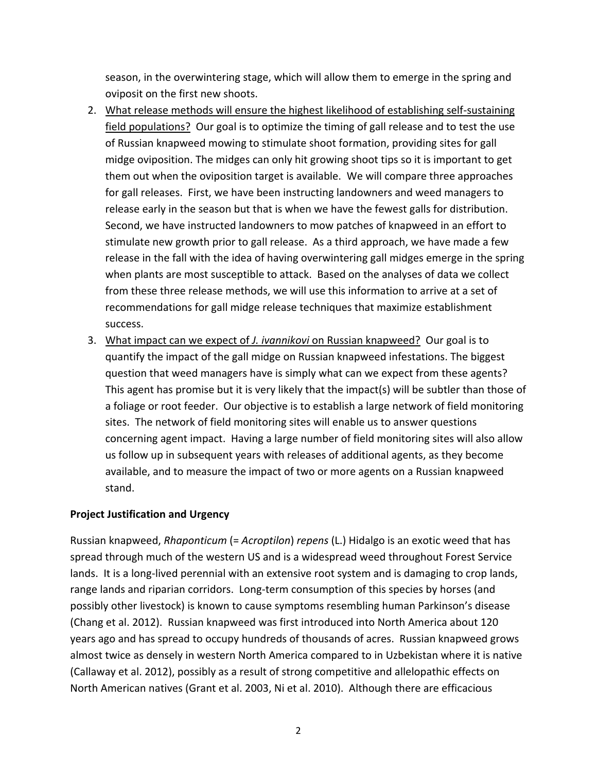season, in the overwintering stage, which will allow them to emerge in the spring and oviposit
on
the
first
new
shoots.

- 2. What release methods will ensure the highest likelihood of establishing self-sustaining field populations? Our goal is to optimize the timing of gall release and to test the use of Russian knapweed mowing to stimulate shoot formation, providing sites for gall midge oviposition. The midges can only hit growing shoot tips so it is important to get them out when the oviposition target is available. We will compare three approaches for gall releases. First, we have been instructing landowners and weed managers to release early in the season but that is when we have the fewest galls for distribution. Second, we have instructed landowners to mow patches of knapweed in an effort to stimulate new growth prior to gall release. As a third approach, we have made a few release in the fall with the idea of having overwintering gall midges emerge in the spring when plants are most susceptible to attack. Based on the analyses of data we collect from these three release methods, we will use this information to arrive at a set of recommendations
for
gall
midge
release
techniques
that
maximize
establishment success.
- 3. What impact can we expect of *J. ivannikovi* on Russian knapweed? Our goal is to quantify
the
impact
of
the
gall
midge
on
Russian
knapweed
infestations.
The
biggest question
that
weed
managers
have
is
simply
what
can
we
expect
from
these
agents? This agent has promise but it is very likely that the impact(s) will be subtler than those of a foliage or root feeder. Our objective is to establish a large network of field monitoring sites.

The
network
of
field
monitoring
sites
will
enable
us
to
answer
questions concerning
agent
impact.

Having
a
large
number
of
field
monitoring
sites
will
also
allow us follow up in subsequent years with releases of additional agents, as they become available, and to measure the impact of two or more agents on a Russian knapweed stand.

# **Project
Justification
and
Urgency**

Russian knapweed, *Rhaponticum* (= *Acroptilon*) *repens* (L.) Hidalgo is an exotic weed that has spread through much of the western US and is a widespread weed throughout Forest Service lands. It is a long-lived perennial with an extensive root system and is damaging to crop lands, range lands and riparian corridors. Long-term consumption of this species by horses (and possibly
other
livestock)
is
known
to
cause
symptoms
resembling
human
Parkinson's
disease (Chang
et
al.
2012).

Russian
knapweed
was
first
introduced
into
North
America
about
120 years ago and has spread to occupy hundreds of thousands of acres. Russian knapweed grows almost
twice
as
densely
in
western
North
America
compared
to
in
Uzbekistan
where
it
is
native (Callaway
et
al.
2012),
possibly
as
a
result
of
strong
competitive
and
allelopathic
effects
on North American natives (Grant et al. 2003, Ni et al. 2010). Although there are efficacious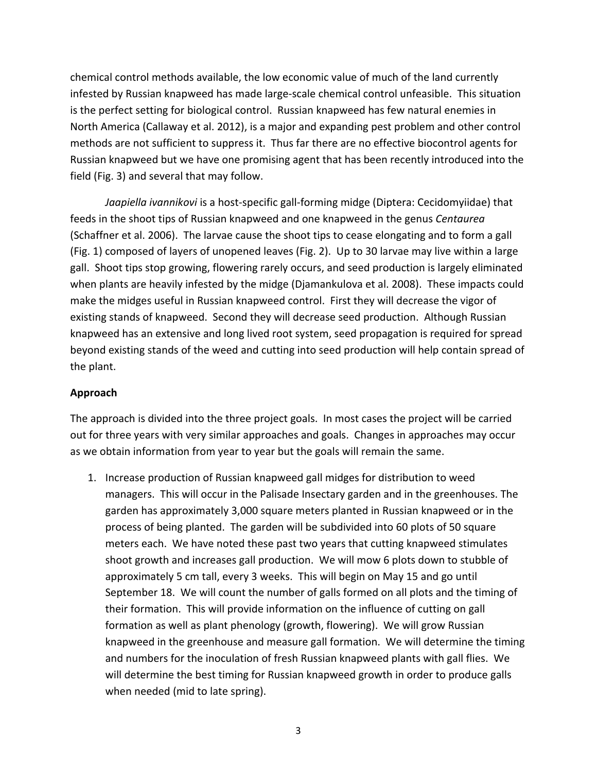chemical
control
methods
available,
the
low
economic
value
of
much
of
the
land
currently infested by Russian knapweed has made large-scale chemical control unfeasible. This situation is the perfect setting for biological control. Russian knapweed has few natural enemies in North America (Callaway et al. 2012), is a major and expanding pest problem and other control methods
are
not
sufficient
to
suppress
it.

Thus
far
there
are
no
effective
biocontrol
agents
for Russian knapweed but we have one promising agent that has been recently introduced into the field
(Fig.
3)
and
several
that
may
follow.

Jaapiella ivannikovi is a host-specific gall-forming midge (Diptera: Cecidomyiidae) that feeds
in
the
shoot
tips
of
Russian
knapweed
and
one
knapweed
in
the
genus *Centaurea* (Schaffner et al. 2006). The larvae cause the shoot tips to cease elongating and to form a gall (Fig.
1)
composed
of
layers
of
unopened
leaves
(Fig.
2).

Up
to
30
larvae
may
live
within
a
large gall. Shoot tips stop growing, flowering rarely occurs, and seed production is largely eliminated when plants are heavily infested by the midge (Djamankulova et al. 2008). These impacts could make the midges useful in Russian knapweed control. First they will decrease the vigor of existing
stands
of
knapweed.

Second
they
will
decrease
seed
production.

Although
Russian knapweed has an extensive and long lived root system, seed propagation is required for spread beyond existing stands of the weed and cutting into seed production will help contain spread of the
plant.

#### **Approach**

The approach is divided into the three project goals. In most cases the project will be carried out for three years with very similar approaches and goals. Changes in approaches may occur as
we
obtain
information
from
year
to
year
but
the
goals
will
remain
the
same.

1. Increase production of Russian knapweed gall midges for distribution to weed managers. This will occur in the Palisade Insectary garden and in the greenhouses. The garden has approximately 3,000 square meters planted in Russian knapweed or in the process of being planted. The garden will be subdivided into 60 plots of 50 square meters each. We have noted these past two years that cutting knapweed stimulates shoot growth and increases gall production. We will mow 6 plots down to stubble of approximately 5 cm tall, every 3 weeks. This will begin on May 15 and go until September 18. We will count the number of galls formed on all plots and the timing of their formation. This will provide information on the influence of cutting on gall formation as well as plant phenology (growth, flowering). We will grow Russian knapweed in the greenhouse and measure gall formation. We will determine the timing and numbers for the inoculation of fresh Russian knapweed plants with gall flies. We will determine the best timing for Russian knapweed growth in order to produce galls when needed (mid to late spring).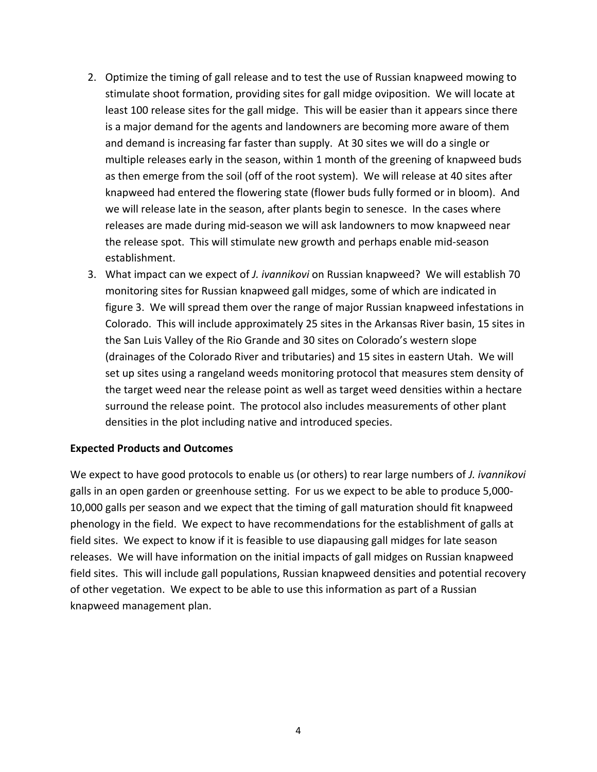- 2. Optimize the timing of gall release and to test the use of Russian knapweed mowing to stimulate shoot formation, providing sites for gall midge oviposition. We will locate at least 100 release sites for the gall midge. This will be easier than it appears since there is a major demand for the agents and landowners are becoming more aware of them and demand is increasing far faster than supply. At 30 sites we will do a single or multiple releases early in the season, within 1 month of the greening of knapweed buds as then emerge from the soil (off of the root system). We will release at 40 sites after knapweed had entered the flowering state (flower buds fully formed or in bloom). And we will release late in the season, after plants begin to senesce. In the cases where releases are made during mid-season we will ask landowners to mow knapweed near the release spot. This will stimulate new growth and perhaps enable mid-season establishment.
- 3. What impact can we expect of *J. ivannikovi* on Russian knapweed? We will establish 70 monitoring
sites
for
Russian
knapweed
gall
midges,
some
of
which
are
indicated
in figure 3. We will spread them over the range of major Russian knapweed infestations in Colorado. This will include approximately 25 sites in the Arkansas River basin, 15 sites in the San Luis Valley of the Rio Grande and 30 sites on Colorado's western slope (drainages
of
the
Colorado
River
and
tributaries)
and
15
sites
in
eastern
Utah.

We
will set up sites using a rangeland weeds monitoring protocol that measures stem density of the target weed near the release point as well as target weed densities within a hectare surround the release point. The protocol also includes measurements of other plant densities in the plot including native and introduced species.

#### **Expected
Products
and
Outcomes**

We expect to have good protocols to enable us (or others) to rear large numbers of *J. ivannikovi* galls in an open garden or greenhouse setting. For us we expect to be able to produce 5,000-10,000
galls
per
season
and
we
expect
that
the
timing
of
gall
maturation
should
fit
knapweed phenology in the field. We expect to have recommendations for the establishment of galls at field sites. We expect to know if it is feasible to use diapausing gall midges for late season releases. We will have information on the initial impacts of gall midges on Russian knapweed field sites. This will include gall populations, Russian knapweed densities and potential recovery of other vegetation. We expect to be able to use this information as part of a Russian knapweed
management
plan.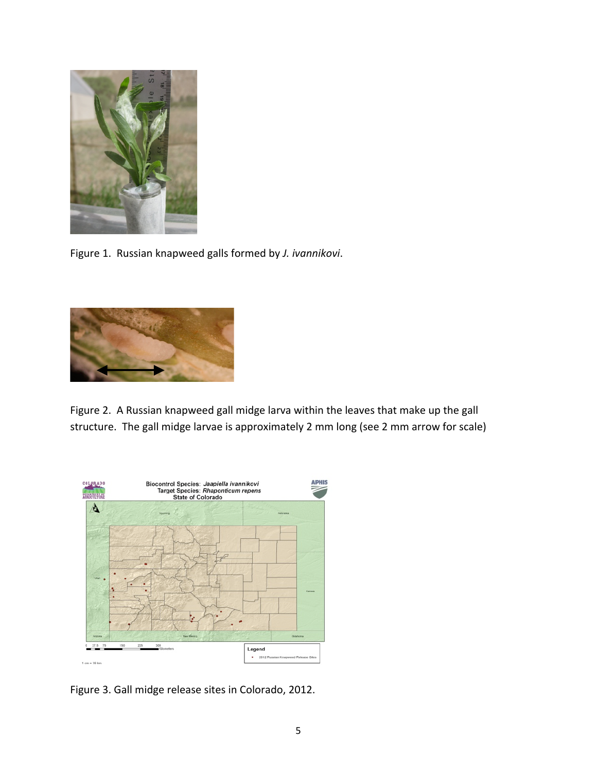

Figure
1.

Russian
knapweed
galls
formed
by *J.
ivannikovi*.



Figure 2. A Russian knapweed gall midge larva within the leaves that make up the gall structure. The gall midge larvae is approximately 2 mm long (see 2 mm arrow for scale)



Figure
3.
Gall
midge
release
sites
in
Colorado,
2012.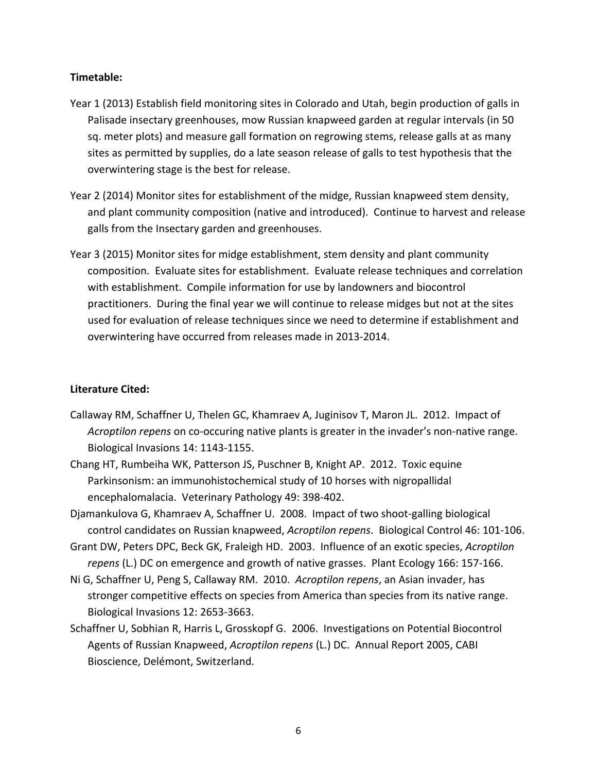#### **Timetable:**

- Year 1 (2013) Establish field monitoring sites in Colorado and Utah, begin production of galls in Palisade insectary greenhouses, mow Russian knapweed garden at regular intervals (in 50 sq. meter plots) and measure gall formation on regrowing stems, release galls at as many sites as permitted by supplies, do a late season release of galls to test hypothesis that the overwintering
stage
is
the
best
for
release.
- Year 2 (2014) Monitor sites for establishment of the midge, Russian knapweed stem density, and plant community composition (native and introduced). Continue to harvest and release galls
from
the
Insectary
garden
and
greenhouses.
- Year 3 (2015) Monitor sites for midge establishment, stem density and plant community composition. Evaluate sites for establishment. Evaluate release techniques and correlation with establishment. Compile information for use by landowners and biocontrol practitioners. During the final year we will continue to release midges but not at the sites used for evaluation of release techniques since we need to determine if establishment and overwintering
have
occurred
from
releases
made
in
2013‐2014.

#### **Literature
Cited:**

- Callaway RM, Schaffner U, Thelen GC, Khamraev A, Juginisov T, Maron JL. 2012. Impact of Acroptilon repens on co-occuring native plants is greater in the invader's non-native range. Biological
Invasions
14:
1143‐1155.
- Chang HT, Rumbeiha WK, Patterson JS, Puschner B, Knight AP. 2012. Toxic equine Parkinsonism: an immunohistochemical study of 10 horses with nigropallidal encephalomalacia.

Veterinary
Pathology
49:
398‐402.
- Djamankulova G, Khamraev A, Schaffner U. 2008. Impact of two shoot-galling biological control
candidates
on
Russian
knapweed, *Acroptilon
repens*.

Biological
Control
46:
101‐106.
- Grant
DW,
Peters
DPC,
Beck
GK,
Fraleigh
HD.

2003.

Influence
of
an
exotic
species, *Acroptilon*  repens (L.) DC on emergence and growth of native grasses. Plant Ecology 166: 157-166.
- Ni G, Schaffner U, Peng S, Callaway RM. 2010. Acroptilon repens, an Asian invader, has stronger competitive effects on species from America than species from its native range. Biological
Invasions
12:
2653‐3663.
- Schaffner U, Sobhian R, Harris L, Grosskopf G. 2006. Investigations on Potential Biocontrol Agents of Russian Knapweed, *Acroptilon repens* (L.) DC. Annual Report 2005, CABI Bioscience,
Delémont,
Switzerland.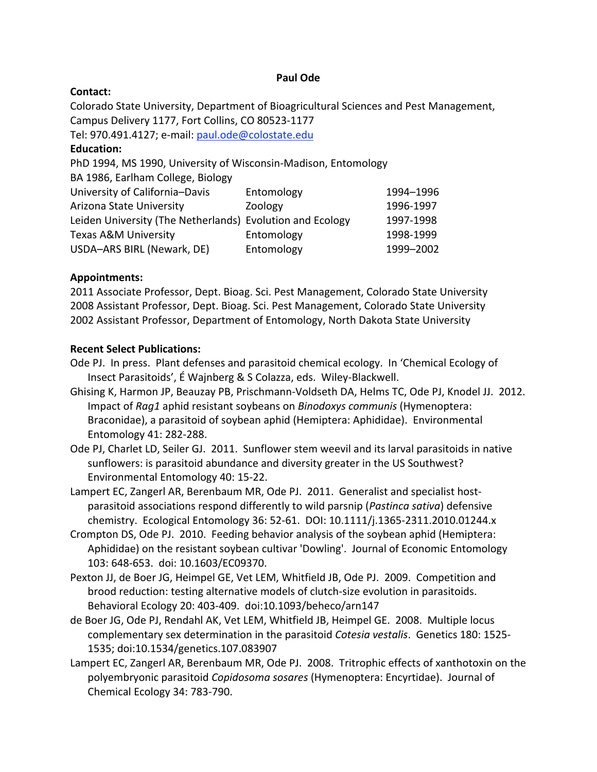#### **Paul
Ode**

#### **Contact:**

Colorado State University, Department of Bioagricultural Sciences and Pest Management, Campus
Delivery
1177,
Fort
Collins,
CO
80523‐1177

Tel:
970.491.4127;
e‐mail:
paul.ode@colostate.edu

#### **Education:**

PhD 1994, MS 1990, University of Wisconsin-Madison, Entomology

BA
1986,
Earlham
College,
Biology

| University of California-Davis                            | Entomology | 1994-1996 |
|-----------------------------------------------------------|------------|-----------|
| Arizona State University                                  | Zoology    | 1996-1997 |
| Leiden University (The Netherlands) Evolution and Ecology |            | 1997-1998 |
| <b>Texas A&amp;M University</b>                           | Entomology | 1998-1999 |
| USDA-ARS BIRL (Newark, DE)                                | Entomology | 1999-2002 |
|                                                           |            |           |

## **Appointments:**

2011
Associate
Professor,
Dept.
Bioag.
Sci.
Pest
Management,
Colorado
State
University 2008
Assistant
Professor,
Dept.
Bioag.
Sci.
Pest
Management,
Colorado
State
University 2002
Assistant
Professor,
Department
of
Entomology,
North
Dakota
State
University

## **Recent
Select
Publications:**

- Ode PJ. In press. Plant defenses and parasitoid chemical ecology. In 'Chemical Ecology of Insect
Parasitoids',
É
Wajnberg
&
S
Colazza,
eds.

Wiley‐Blackwell.
- Ghising K, Harmon JP, Beauzay PB, Prischmann-Voldseth DA, Helms TC, Ode PJ, Knodel JJ. 2012. Impact of Rag1 aphid resistant soybeans on *Binodoxys communis* (Hymenoptera: Braconidae), a parasitoid of soybean aphid (Hemiptera: Aphididae). Environmental Entomology
41:
282‐288.
- Ode PJ, Charlet LD, Seiler GJ. 2011. Sunflower stem weevil and its larval parasitoids in native sunflowers:
is
parasitoid
abundance
and
diversity
greater
in
the
US
Southwest? Environmental
Entomology
40:
15‐22.
- Lampert EC, Zangerl AR, Berenbaum MR, Ode PJ. 2011. Generalist and specialist hostparasitoid associations respond differently to wild parsnip (Pastinca sativa) defensive chemistry.

Ecological
Entomology
36:
52‐61.

DOI:
10.1111/j.1365‐2311.2010.01244.x
- Crompton
DS,
Ode
PJ.

2010.

Feeding
behavior
analysis
of
the
soybean
aphid
(Hemiptera: Aphididae) on the resistant soybean cultivar 'Dowling'. Journal of Economic Entomology 103:
648‐653.

doi:
10.1603/EC09370.
- Pexton JJ, de Boer JG, Heimpel GE, Vet LEM, Whitfield JB, Ode PJ. 2009. Competition and brood
reduction:
testing
alternative
models
of
clutch‐size
evolution
in
parasitoids. Behavioral
Ecology
20:
403‐409.

doi:10.1093/beheco/arn147
- de Boer JG, Ode PJ, Rendahl AK, Vet LEM, Whitfield JB, Heimpel GE. 2008. Multiple locus complementary sex determination in the parasitoid Cotesia vestalis. Genetics 180: 1525-1535;
doi:10.1534/genetics.107.083907
- Lampert EC, Zangerl AR, Berenbaum MR, Ode PJ. 2008. Tritrophic effects of xanthotoxin on the polyembryonic parasitoid Copidosoma sosares (Hymenoptera: Encyrtidae). Journal of Chemical
Ecology
34:
783‐790.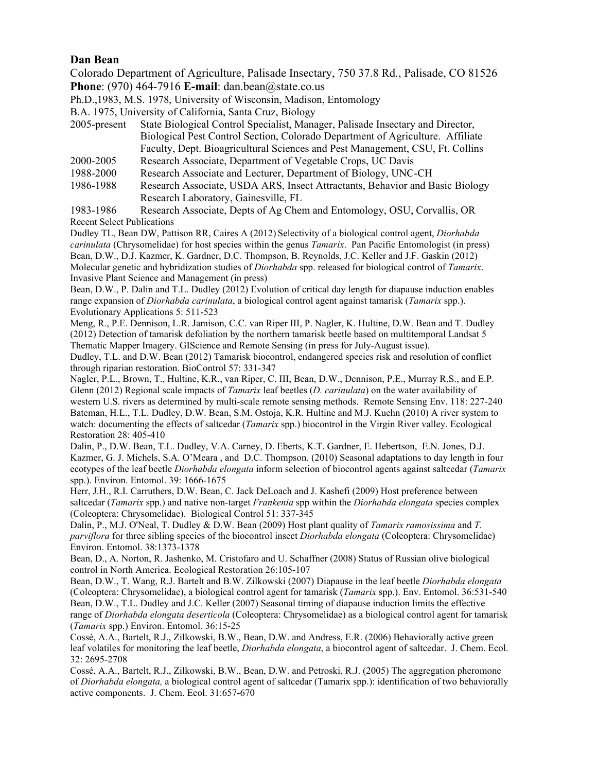#### **Dan Bean**

Colorado Department of Agriculture, Palisade Insectary, 750 37.8 Rd., Palisade, CO 81526 **Phone**: (970) 464-7916 **E-mail**: dan.bean@state.co.us

Ph.D.,1983, M.S. 1978, University of Wisconsin, Madison, Entomology

B.A. 1975, University of California, Santa Cruz, Biology

- 2005-present State Biological Control Specialist, Manager, Palisade Insectary and Director, Biological Pest Control Section, Colorado Department of Agriculture. Affiliate Faculty, Dept. Bioagricultural Sciences and Pest Management, CSU, Ft. Collins
- Research Associate, Department of Vegetable Crops, UC Davis 2000-2005 Research Associate, Department of Vegetable Crops, UC Davis 1988-2000 Research Associate and Lecturer, Department of Biology, UNC-CH
- 1986-1988 Research Associate, USDA ARS, Insect Attractants, Behavior and Basic Biology Research Laboratory, Gainesville, FL

 Recent Select Publications 1983-1986 Research Associate, Depts of Ag Chem and Entomology, OSU, Corvallis, OR

 Dudley TL, Bean DW, Pattison RR, Caires A (2012) Selectivity of a biological control agent, *Diorhabda carinulata* (Chrysomelidae) for host species within the genus *Tamarix*. Pan Pacific Entomologist (in press) Bean, D.W., D.J. Kazmer, K. Gardner, D.C. Thompson, B. Reynolds, J.C. Keller and J.F. Gaskin (2012) Molecular genetic and hybridization studies of *Diorhabda* spp. released for biological control of *Tamarix*. Invasive Plant Science and Management (in press)

 Bean, D.W., P. Dalin and T.L. Dudley (2012) Evolution of critical day length for diapause induction enables range expansion of *Diorhabda carinulata*, a biological control agent against tamarisk (*Tamarix* spp.). Evolutionary Applications 5: 511-523

 Meng, R., P.E. Dennison, L.R. Jamison, C.C. van Riper III, P. Nagler, K. Hultine, D.W. Bean and T. Dudley (2012) Detection of tamarisk defoliation by the northern tamarisk beetle based on multitemporal Landsat 5 Thematic Mapper Imagery. GIScience and Remote Sensing (in press for July-August issue).

 Dudley, T.L. and D.W. Bean (2012) Tamarisk biocontrol, endangered species risk and resolution of conflict through riparian restoration. BioControl 57: 331-347

 Nagler, P.L., Brown, T., Hultine, K.R., van Riper, C. III, Bean, D.W., Dennison, P.E., Murray R.S., and E.P. Glenn (2012) Regional scale impacts of *Tamarix* leaf beetles (*D. carinulata*) on the water availability of western U.S. rivers as determined by multi-scale remote sensing methods. Remote Sensing Env. 118: 227-240 Bateman, H.L., T.L. Dudley, D.W. Bean, S.M. Ostoja, K.R. Hultine and M.J. Kuehn (2010) A river system to watch: documenting the effects of saltcedar (*Tamarix* spp.) biocontrol in the Virgin River valley. Ecological Restoration 28: 405-410

 Dalin, P., D.W. Bean, T.L. Dudley, V.A. Carney, D. Eberts, K.T. Gardner, E. Hebertson, E.N. Jones, D.J. Kazmer, G. J. Michels, S.A. O'Meara , and D.C. Thompson. (2010) Seasonal adaptations to day length in four ecotypes of the leaf beetle *Diorhabda elongata* inform selection of biocontrol agents against saltcedar (*Tamarix*  spp.). Environ. Entomol. 39: 1666-1675

 Herr, J.H., R.I. Carruthers, D.W. Bean, C. Jack DeLoach and J. Kashefi (2009) Host preference between saltcedar (*Tamarix* spp.) and native non-target *Frankenia* spp within the *Diorhabda elongata* species complex (Coleoptera: Chrysomelidae). Biological Control 51: 337-345

 Dalin, P., M.J. O'Neal, T. Dudley & D.W. Bean (2009) Host plant quality of *Tamarix ramosissima* and *T. parviflora* for three sibling species of the biocontrol insect *Diorhabda elongata* (Coleoptera: Chrysomelidae) Environ. Entomol. 38:1373-1378

 Bean, D., A. Norton, R. Jashenko, M. Cristofaro and U. Schaffner (2008) Status of Russian olive biological control in North America. Ecological Restoration 26:105-107

 (Coleoptera: Chrysomelidae), a biological control agent for tamarisk (*Tamarix* spp.). Env. Entomol. 36:531-540 Bean, D.W., T.L. Dudley and J.C. Keller (2007) Seasonal timing of diapause induction limits the effective range of *Diorhabda elongata deserticola* (Coleoptera: Chrysomelidae) as a biological control agent for tamarisk (*Tamarix* spp.) Environ. Entomol. 36:15-25 Bean, D.W., T. Wang, R.J. Bartelt and B.W. Zilkowski (2007) Diapause in the leaf beetle *Diorhabda elongata* 

 Cossé, A.A., Bartelt, R.J., Zilkowski, B.W., Bean, D.W. and Andress, E.R. (2006) Behaviorally active green leaf volatiles for monitoring the leaf beetle, *Diorhabda elongata*, a biocontrol agent of saltcedar. J. Chem. Ecol. 32: 2695-2708

 Cossé, A.A., Bartelt, R.J., Zilkowski, B.W., Bean, D.W. and Petroski, R.J. (2005) The aggregation pheromone of *Diorhabda elongata,* a biological control agent of saltcedar (Tamarix spp.): identification of two behaviorally active components. J. Chem. Ecol. 31:657-670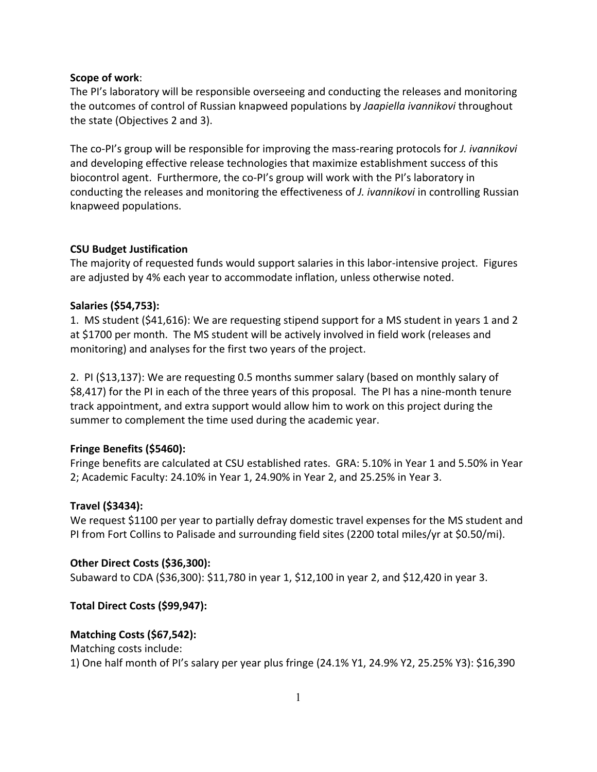#### **Scope
of
work**:

The PI's laboratory will be responsible overseeing and conducting the releases and monitoring the outcomes of control of Russian knapweed populations by *Jaapiella ivannikovi* throughout the
state
(Objectives
2
and
3).

The co-PI's group will be responsible for improving the mass-rearing protocols for *J. ivannikovi* and
developing
effective
release
technologies
that
maximize
establishment
success
of
this biocontrol agent. Furthermore, the co-PI's group will work with the PI's laboratory in conducting the releases and monitoring the effectiveness of *J. ivannikovi* in controlling Russian knapweed
populations.

#### **CSU
Budget
Justification**

The majority of requested funds would support salaries in this labor-intensive project. Figures are
adjusted
by
4%
each
year
to
accommodate
inflation,
unless
otherwise
noted.

## **Salaries
(\$54,753):**

1. MS student (\$41,616): We are requesting stipend support for a MS student in years 1 and 2 at
\$1700
per
month.

The
MS
student
will
be
actively
involved
in
field
work
(releases
and monitoring)
and
analyses
for
the
first
two
years
of
the
project.

2. PI (\$13,137): We are requesting 0.5 months summer salary (based on monthly salary of \$8,417) for the PI in each of the three years of this proposal. The PI has a nine-month tenure track appointment, and extra support would allow him to work on this project during the summer
to
complement
the
time
used
during
the
academic
year.

## **Fringe
Benefits
(\$5460):**

Fringe benefits are calculated at CSU established rates. GRA: 5.10% in Year 1 and 5.50% in Year 2;
Academic
Faculty:
24.10%
in
Year
1,
24.90%
in
Year
2,
and
25.25%
in
Year
3.

#### **Travel
(\$3434):**

We request \$1100 per year to partially defray domestic travel expenses for the MS student and PI from Fort Collins to Palisade and surrounding field sites (2200 total miles/yr at \$0.50/mi).

#### **Other
Direct
Costs
(\$36,300):**

Subaward to CDA (\$36,300): \$11,780 in year 1, \$12,100 in year 2, and \$12,420 in year 3.

## **Total
Direct
Costs
(\$99,947):**

## **Matching
Costs
(\$67,542):**

Matching
costs
include:

1)
One
half
month
of
PI's
salary
per
year
plus
fringe
(24.1%
Y1,
24.9%
Y2,
25.25%
Y3):
\$16,390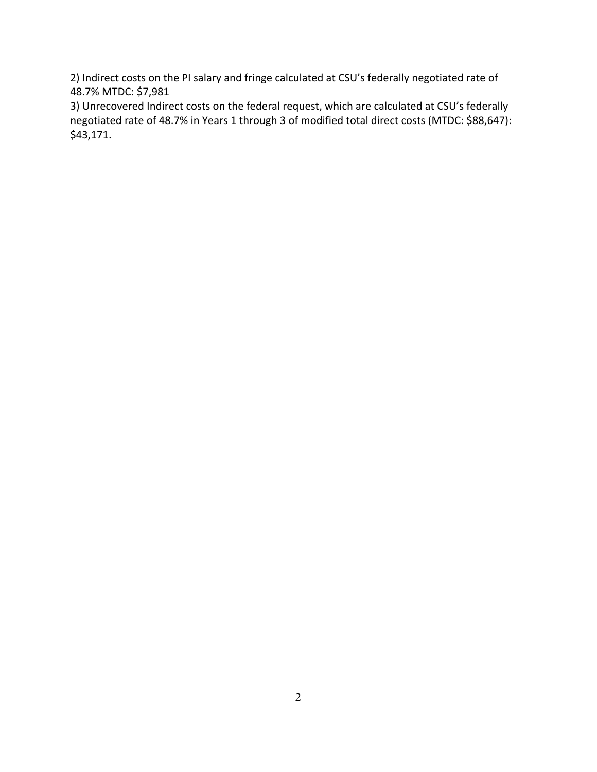2) Indirect costs on the PI salary and fringe calculated at CSU's federally negotiated rate of 48.7%
MTDC:
\$7,981

3)
Unrecovered
Indirect
costs
on
the
federal
request,
which
are
calculated
at
CSU's
federally negotiated rate of 48.7% in Years 1 through 3 of modified total direct costs (MTDC: \$88,647): \$43,171.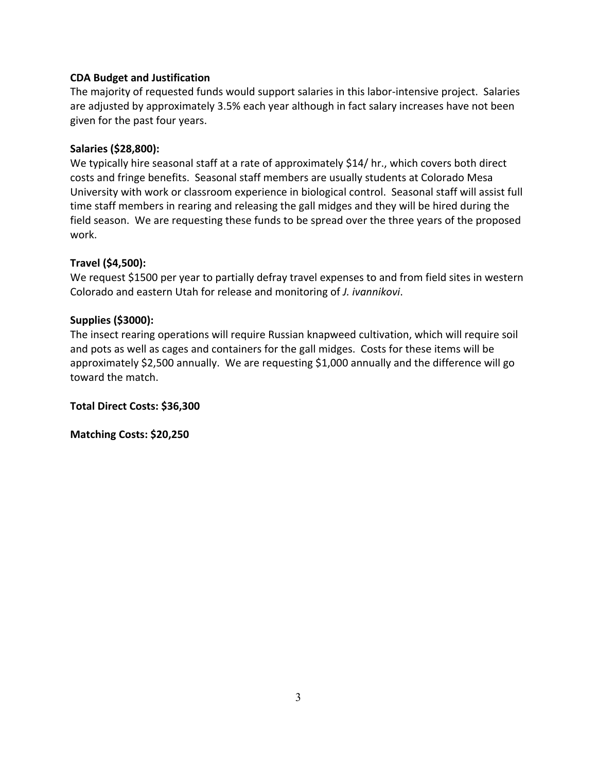#### **CDA
Budget
and
Justification**

The majority of requested funds would support salaries in this labor-intensive project. Salaries are adjusted by approximately 3.5% each year although in fact salary increases have not been given
for
the
past
four
years.

#### **Salaries
(\$28,800):**

We typically hire seasonal staff at a rate of approximately \$14/ hr., which covers both direct costs
and
fringe
benefits.

Seasonal
staff
members
are
usually
students
at
Colorado
Mesa University with work or classroom experience in biological control. Seasonal staff will assist full time staff members in rearing and releasing the gall midges and they will be hired during the field season. We are requesting these funds to be spread over the three years of the proposed work.

#### **Travel
(\$4,500):**

We request \$1500 per year to partially defray travel expenses to and from field sites in western Colorado
and
eastern
Utah
for
release
and
monitoring
of *J.
ivannikovi*.

#### **Supplies
(\$3000):**

The
insect
rearing
operations
will
require
Russian
knapweed
cultivation,
which
will
require
soil and pots as well as cages and containers for the gall midges. Costs for these items will be approximately
\$2,500
annually.

We
are
requesting
\$1,000
annually
and
the
difference
will
go toward
the
match.

**Total
Direct
Costs:
\$36,300**

**Matching
Costs:
\$20,250**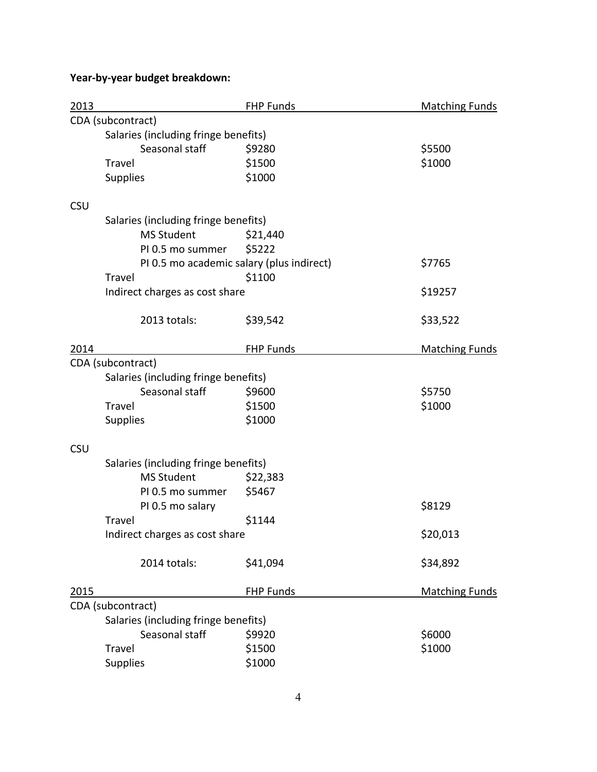# **Year‐by‐year
budget
breakdown:**

| 2013       |                                           | <b>FHP Funds</b>                     | <b>Matching Funds</b> |  |  |  |
|------------|-------------------------------------------|--------------------------------------|-----------------------|--|--|--|
|            | CDA (subcontract)                         |                                      |                       |  |  |  |
|            |                                           | Salaries (including fringe benefits) |                       |  |  |  |
|            | Seasonal staff                            | \$9280                               | \$5500                |  |  |  |
|            | Travel                                    | \$1500                               | \$1000                |  |  |  |
|            | <b>Supplies</b>                           | \$1000                               |                       |  |  |  |
| <b>CSU</b> |                                           |                                      |                       |  |  |  |
|            | Salaries (including fringe benefits)      |                                      |                       |  |  |  |
|            | <b>MS Student</b>                         | \$21,440                             |                       |  |  |  |
|            | PI 0.5 mo summer                          | \$5222                               |                       |  |  |  |
|            | PI 0.5 mo academic salary (plus indirect) |                                      | \$7765                |  |  |  |
|            | Travel                                    | \$1100                               |                       |  |  |  |
|            | Indirect charges as cost share            |                                      | \$19257               |  |  |  |
|            | 2013 totals:                              | \$39,542                             | \$33,522              |  |  |  |
| 2014       |                                           | <b>FHP Funds</b>                     | <b>Matching Funds</b> |  |  |  |
|            | CDA (subcontract)                         |                                      |                       |  |  |  |
|            | Salaries (including fringe benefits)      |                                      |                       |  |  |  |
|            | Seasonal staff                            | \$9600                               | \$5750                |  |  |  |
|            | Travel                                    | \$1500                               | \$1000                |  |  |  |
|            | Supplies                                  | \$1000                               |                       |  |  |  |
| <b>CSU</b> |                                           |                                      |                       |  |  |  |
|            | Salaries (including fringe benefits)      |                                      |                       |  |  |  |
|            | <b>MS Student</b>                         | \$22,383                             |                       |  |  |  |
|            | PI 0.5 mo summer                          | \$5467                               |                       |  |  |  |
|            | PI 0.5 mo salary                          |                                      | \$8129                |  |  |  |
|            | Travel                                    | \$1144                               |                       |  |  |  |
|            | Indirect charges as cost share            |                                      | \$20,013              |  |  |  |
|            | 2014 totals:                              | \$41,094                             | \$34,892              |  |  |  |
| 2015       |                                           | <b>FHP Funds</b>                     | <b>Matching Funds</b> |  |  |  |
|            | CDA (subcontract)                         |                                      |                       |  |  |  |
|            | Salaries (including fringe benefits)      |                                      |                       |  |  |  |
|            | Seasonal staff                            | \$9920                               | \$6000                |  |  |  |
|            | Travel                                    | \$1500                               | \$1000                |  |  |  |
|            | Supplies                                  | \$1000                               |                       |  |  |  |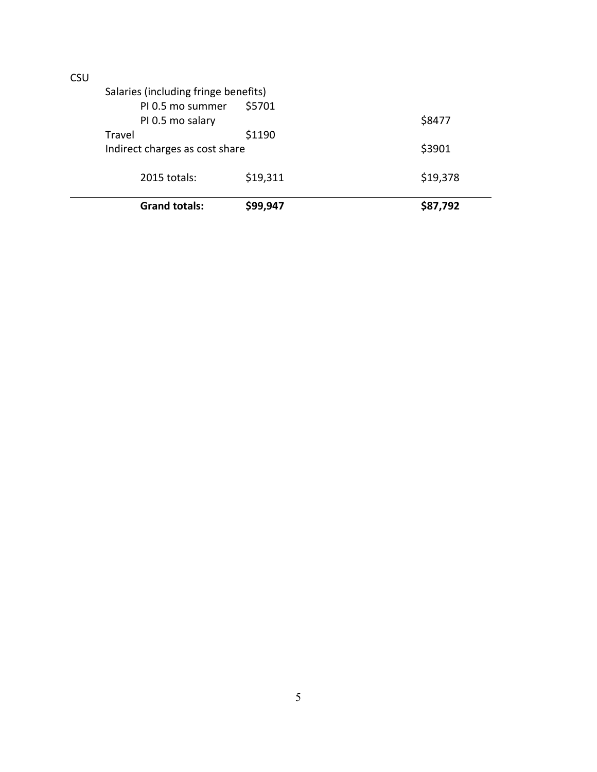|    | <b>Grand totals:</b>                                     | \$99,947 | \$87,792 |
|----|----------------------------------------------------------|----------|----------|
|    | 2015 totals:                                             | \$19,311 | \$19,378 |
|    | Indirect charges as cost share                           |          | \$3901   |
|    | PI 0.5 mo salary<br>Travel                               | \$1190   | \$8477   |
|    | Salaries (including fringe benefits)<br>PI 0.5 mo summer | \$5701   |          |
| wu |                                                          |          |          |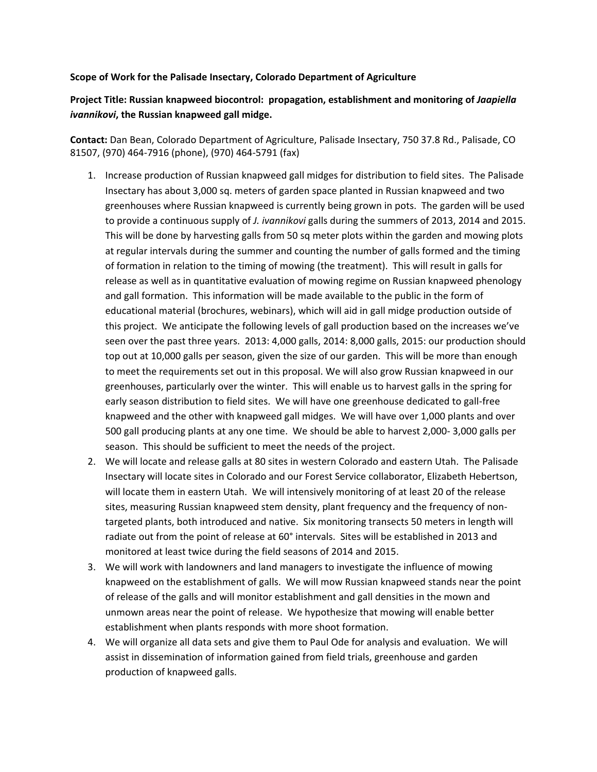#### Scope of Work for the Palisade Insectary, Colorado Department of Agriculture

## Project Title: Russian knapweed biocontrol: propagation, establishment and monitoring of *Jaapiella* ivannikovi, the Russian knapweed gall midge.

Contact: Dan Bean, Colorado Department of Agriculture, Palisade Insectary, 750 37.8 Rd., Palisade, CO 81507,
(970)
464‐7916
(phone),
(970)
464‐5791
(fax)

- 1. Increase production of Russian knapweed gall midges for distribution to field sites. The Palisade Insectary has about 3,000 sq. meters of garden space planted in Russian knapweed and two greenhouses where Russian knapweed is currently being grown in pots. The garden will be used to provide a continuous supply of *J. ivannikovi* galls during the summers of 2013, 2014 and 2015. This
will
be
done
by
harvesting
galls
from
50
sq
meter
plots
within
the
garden
and
mowing
plots at regular intervals during the summer and counting the number of galls formed and the timing of formation in relation to the timing of mowing (the treatment). This will result in galls for release as well as in quantitative evaluation of mowing regime on Russian knapweed phenology and gall formation. This information will be made available to the public in the form of educational material (brochures, webinars), which will aid in gall midge production outside of this
project.

We
anticipate
the
following
levels
of
gall
production
based
on
the
increases
we've seen over the past three years. 2013: 4,000 galls, 2014: 8,000 galls, 2015: our production should top out at 10,000 galls per season, given the size of our garden. This will be more than enough to meet the requirements set out in this proposal. We will also grow Russian knapweed in our greenhouses, particularly over the winter. This will enable us to harvest galls in the spring for early
season
distribution
to
field
sites.

We
will
have
one
greenhouse
dedicated
to
gall‐free knapweed and the other with knapweed gall midges. We will have over 1,000 plants and over 500 gall producing plants at any one time. We should be able to harvest 2,000-3,000 galls per season. This should be sufficient to meet the needs of the project.
- 2. We will locate and release galls at 80 sites in western Colorado and eastern Utah. The Palisade Insectary
will
locate
sites
in
Colorado
and
our
Forest
Service
collaborator,
Elizabeth
Hebertson, will locate them in eastern Utah. We will intensively monitoring of at least 20 of the release sites, measuring Russian knapweed stem density, plant frequency and the frequency of nontargeted plants, both introduced and native. Six monitoring transects 50 meters in length will radiate out from the point of release at 60° intervals. Sites will be established in 2013 and monitored
at
least
twice
during
the
field
seasons
of
2014
and
2015.
- 3. We will work with landowners and land managers to investigate the influence of mowing knapweed on the establishment of galls. We will mow Russian knapweed stands near the point of release of the galls and will monitor establishment and gall densities in the mown and unmown areas near the point of release. We hypothesize that mowing will enable better establishment when plants responds with more shoot formation.
- 4. We will organize all data sets and give them to Paul Ode for analysis and evaluation. We will assist in dissemination of information gained from field trials, greenhouse and garden production
of
knapweed
galls.